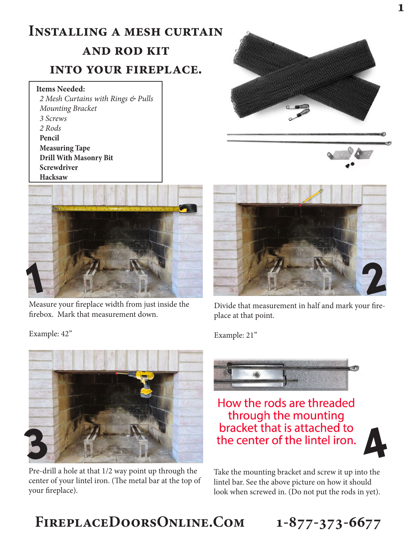## **Installing a mesh curtain and rod kit**

## **into your fireplace.**

## **Items Needed:**

*2 Mesh Curtains with Rings & Pulls Mounting Bracket 3 Screws 2 Rods* **Pencil Measuring Tape Drill With Masonry Bit Screwdriver Hacksaw**



Measure your fireplace width from just inside the firebox. Mark that measurement down.

Example: 42"



Pre-drill a hole at that 1/2 way point up through the center of your lintel iron. (The metal bar at the top of your fireplace).





Divide that measurement in half and mark your fireplace at that point.

Example: 21"



How the rods are threaded through the mounting bracket that is attached to the center of the lintel iron.



Take the mounting bracket and screw it up into the lintel bar. See the above picture on how it should look when screwed in. (Do not put the rods in yet).

## **FireplaceDoorsOnline.Com 1-877-373-6677**